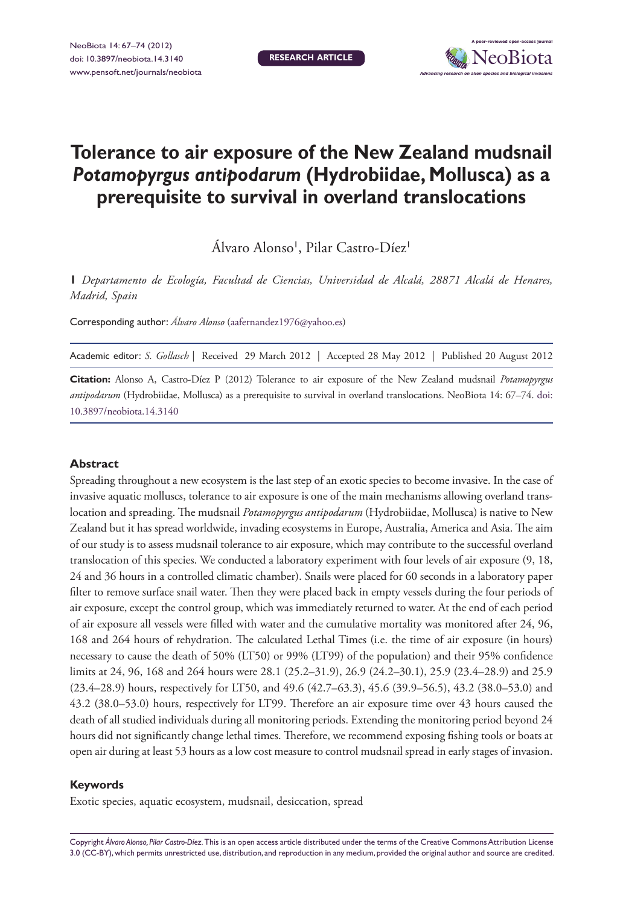**Research article**



# **Tolerance to air exposure of the New Zealand mudsnail**  *Potamopyrgus antipodarum* **(Hydrobiidae, Mollusca) as a prerequisite to survival in overland translocations**

Álvaro Alonso<sup>i</sup>, Pilar Castro-Díez<sup>i</sup>

**1** *Departamento de Ecología, Facultad de Ciencias, Universidad de Alcalá, 28871 Alcalá de Henares, Madrid, Spain*

Corresponding author: *Álvaro Alonso* [\(aafernandez1976@yahoo.es](mailto:aafernandez1976@yahoo.es))

Academic editor: *S. Gollasch* | Received 29 March 2012 | Accepted 28 May 2012 | Published 20 August 2012

**Citation:** Alonso A, Castro-Díez P (2012) Tolerance to air exposure of the New Zealand mudsnail *Potamopyrgus antipodarum* (Hydrobiidae, Mollusca) as a prerequisite to survival in overland translocations. NeoBiota 14: 67–74. [doi:](http://dx.doi.org/10.3897/neobiota.14.3140) [10.3897/neobiota.14.3140](http://dx.doi.org/10.3897/neobiota.14.3140)

### **Abstract**

Spreading throughout a new ecosystem is the last step of an exotic species to become invasive. In the case of invasive aquatic molluscs, tolerance to air exposure is one of the main mechanisms allowing overland translocation and spreading. The mudsnail *Potamopyrgus antipodarum* (Hydrobiidae, Mollusca) is native to New Zealand but it has spread worldwide, invading ecosystems in Europe, Australia, America and Asia. The aim of our study is to assess mudsnail tolerance to air exposure, which may contribute to the successful overland translocation of this species. We conducted a laboratory experiment with four levels of air exposure (9, 18, 24 and 36 hours in a controlled climatic chamber). Snails were placed for 60 seconds in a laboratory paper filter to remove surface snail water. Then they were placed back in empty vessels during the four periods of air exposure, except the control group, which was immediately returned to water. At the end of each period of air exposure all vessels were filled with water and the cumulative mortality was monitored after 24, 96, 168 and 264 hours of rehydration. The calculated Lethal Times (i.e. the time of air exposure (in hours) necessary to cause the death of 50% (LT50) or 99% (LT99) of the population) and their 95% confidence limits at 24, 96, 168 and 264 hours were 28.1 (25.2–31.9), 26.9 (24.2–30.1), 25.9 (23.4–28.9) and 25.9 (23.4–28.9) hours, respectively for LT50, and 49.6 (42.7–63.3), 45.6 (39.9–56.5), 43.2 (38.0–53.0) and 43.2 (38.0–53.0) hours, respectively for LT99. Therefore an air exposure time over 43 hours caused the death of all studied individuals during all monitoring periods. Extending the monitoring period beyond 24 hours did not significantly change lethal times. Therefore, we recommend exposing fishing tools or boats at open air during at least 53 hours as a low cost measure to control mudsnail spread in early stages of invasion.

#### **Keywords**

Exotic species, aquatic ecosystem, mudsnail, desiccation, spread

Copyright *Álvaro Alonso, Pilar Castro-Díez.* This is an open access article distributed under the terms of the [Creative Commons Attribution License](http://creativecommons.org/licenses/by/3.0/)  [3.0 \(CC-BY\),](http://creativecommons.org/licenses/by/3.0/) which permits unrestricted use, distribution, and reproduction in any medium, provided the original author and source are credited.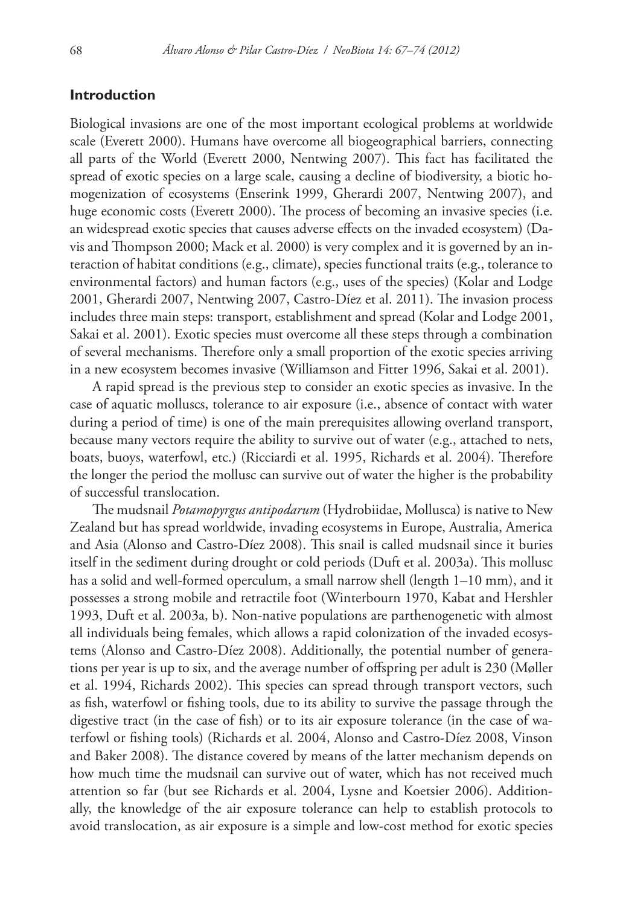## **Introduction**

Biological invasions are one of the most important ecological problems at worldwide scale (Everett 2000). Humans have overcome all biogeographical barriers, connecting all parts of the World (Everett 2000, Nentwing 2007). This fact has facilitated the spread of exotic species on a large scale, causing a decline of biodiversity, a biotic homogenization of ecosystems (Enserink 1999, Gherardi 2007, Nentwing 2007), and huge economic costs (Everett 2000). The process of becoming an invasive species (i.e. an widespread exotic species that causes adverse effects on the invaded ecosystem) (Davis and Thompson 2000; Mack et al. 2000) is very complex and it is governed by an interaction of habitat conditions (e.g., climate), species functional traits (e.g., tolerance to environmental factors) and human factors (e.g., uses of the species) (Kolar and Lodge 2001, Gherardi 2007, Nentwing 2007, Castro-Díez et al. 2011). The invasion process includes three main steps: transport, establishment and spread (Kolar and Lodge 2001, Sakai et al. 2001). Exotic species must overcome all these steps through a combination of several mechanisms. Therefore only a small proportion of the exotic species arriving in a new ecosystem becomes invasive (Williamson and Fitter 1996, Sakai et al. 2001).

A rapid spread is the previous step to consider an exotic species as invasive. In the case of aquatic molluscs, tolerance to air exposure (i.e., absence of contact with water during a period of time) is one of the main prerequisites allowing overland transport, because many vectors require the ability to survive out of water (e.g., attached to nets, boats, buoys, waterfowl, etc.) (Ricciardi et al. 1995, Richards et al. 2004). Therefore the longer the period the mollusc can survive out of water the higher is the probability of successful translocation.

The mudsnail *Potamopyrgus antipodarum* (Hydrobiidae, Mollusca) is native to New Zealand but has spread worldwide, invading ecosystems in Europe, Australia, America and Asia (Alonso and Castro-Díez 2008). This snail is called mudsnail since it buries itself in the sediment during drought or cold periods (Duft et al. 2003a). This mollusc has a solid and well-formed operculum, a small narrow shell (length 1–10 mm), and it possesses a strong mobile and retractile foot (Winterbourn 1970, Kabat and Hershler 1993, Duft et al. 2003a, b). Non-native populations are parthenogenetic with almost all individuals being females, which allows a rapid colonization of the invaded ecosystems (Alonso and Castro-Díez 2008). Additionally, the potential number of generations per year is up to six, and the average number of offspring per adult is 230 (Møller et al. 1994, Richards 2002). This species can spread through transport vectors, such as fish, waterfowl or fishing tools, due to its ability to survive the passage through the digestive tract (in the case of fish) or to its air exposure tolerance (in the case of waterfowl or fishing tools) (Richards et al. 2004, Alonso and Castro-Díez 2008, Vinson and Baker 2008). The distance covered by means of the latter mechanism depends on how much time the mudsnail can survive out of water, which has not received much attention so far (but see Richards et al. 2004, Lysne and Koetsier 2006). Additionally, the knowledge of the air exposure tolerance can help to establish protocols to avoid translocation, as air exposure is a simple and low-cost method for exotic species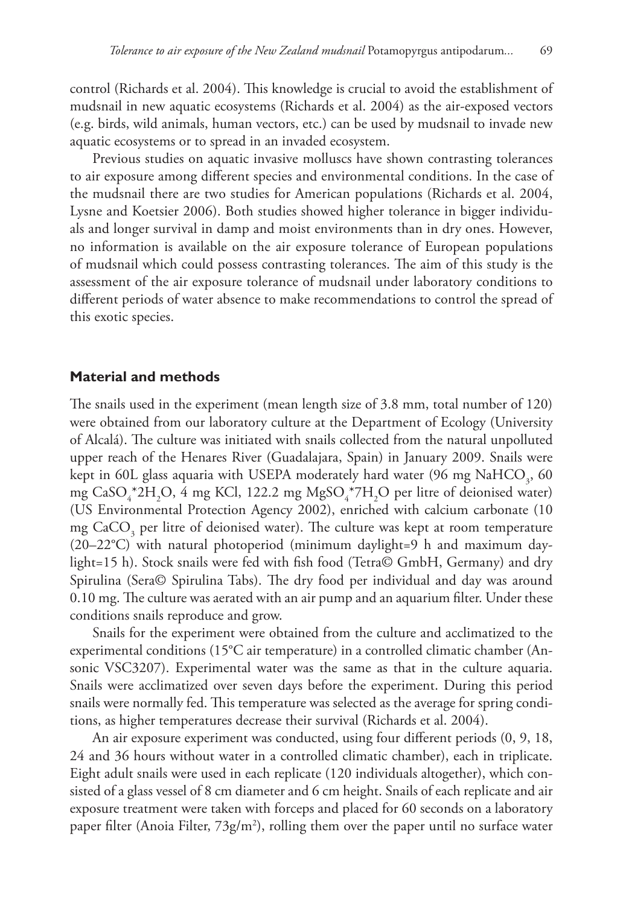control (Richards et al. 2004). This knowledge is crucial to avoid the establishment of mudsnail in new aquatic ecosystems (Richards et al. 2004) as the air-exposed vectors (e.g. birds, wild animals, human vectors, etc.) can be used by mudsnail to invade new aquatic ecosystems or to spread in an invaded ecosystem.

Previous studies on aquatic invasive molluscs have shown contrasting tolerances to air exposure among different species and environmental conditions. In the case of the mudsnail there are two studies for American populations (Richards et al. 2004, Lysne and Koetsier 2006). Both studies showed higher tolerance in bigger individuals and longer survival in damp and moist environments than in dry ones. However, no information is available on the air exposure tolerance of European populations of mudsnail which could possess contrasting tolerances. The aim of this study is the assessment of the air exposure tolerance of mudsnail under laboratory conditions to different periods of water absence to make recommendations to control the spread of this exotic species.

### **Material and methods**

The snails used in the experiment (mean length size of 3.8 mm, total number of 120) were obtained from our laboratory culture at the Department of Ecology (University of Alcalá). The culture was initiated with snails collected from the natural unpolluted upper reach of the Henares River (Guadalajara, Spain) in January 2009. Snails were kept in 60L glass aquaria with USEPA moderately hard water (96 mg  $\mathrm{NaHCO}_{_3}\mathrm{,60}$ mg CaSO $_4^*$ 2H<sub>2</sub>O, 4 mg KCl, 122.2 mg MgSO $_4^*$ 7H<sub>2</sub>O per litre of deionised water) (US Environmental Protection Agency 2002), enriched with calcium carbonate (10 mg  $\text{CaCO}_3$  per litre of deionised water). The culture was kept at room temperature  $(20-22^{\circ}\text{C})$  with natural photoperiod (minimum daylight=9 h and maximum daylight=15 h). Stock snails were fed with fish food (Tetra© GmbH, Germany) and dry Spirulina (Sera© Spirulina Tabs). The dry food per individual and day was around 0.10 mg. The culture was aerated with an air pump and an aquarium filter. Under these conditions snails reproduce and grow.

Snails for the experiment were obtained from the culture and acclimatized to the experimental conditions (15°C air temperature) in a controlled climatic chamber (Ansonic VSC3207). Experimental water was the same as that in the culture aquaria. Snails were acclimatized over seven days before the experiment. During this period snails were normally fed. This temperature was selected as the average for spring conditions, as higher temperatures decrease their survival (Richards et al. 2004).

An air exposure experiment was conducted, using four different periods (0, 9, 18, 24 and 36 hours without water in a controlled climatic chamber), each in triplicate. Eight adult snails were used in each replicate (120 individuals altogether), which consisted of a glass vessel of 8 cm diameter and 6 cm height. Snails of each replicate and air exposure treatment were taken with forceps and placed for 60 seconds on a laboratory paper filter (Anoia Filter,  $73g/m^2$ ), rolling them over the paper until no surface water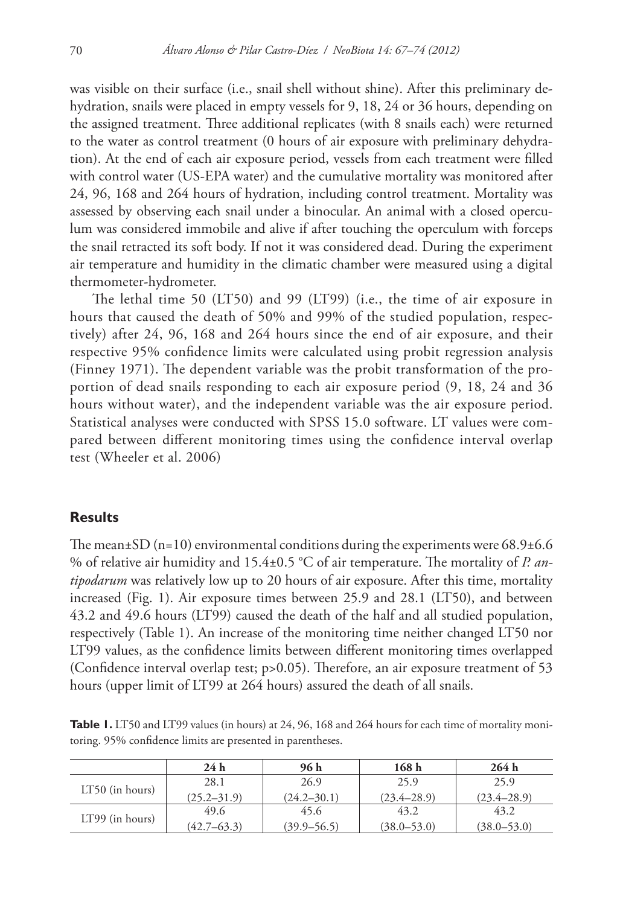was visible on their surface (i.e., snail shell without shine). After this preliminary dehydration, snails were placed in empty vessels for 9, 18, 24 or 36 hours, depending on the assigned treatment. Three additional replicates (with 8 snails each) were returned to the water as control treatment (0 hours of air exposure with preliminary dehydration). At the end of each air exposure period, vessels from each treatment were filled with control water (US-EPA water) and the cumulative mortality was monitored after 24, 96, 168 and 264 hours of hydration, including control treatment. Mortality was assessed by observing each snail under a binocular. An animal with a closed operculum was considered immobile and alive if after touching the operculum with forceps the snail retracted its soft body. If not it was considered dead. During the experiment air temperature and humidity in the climatic chamber were measured using a digital thermometer-hydrometer.

The lethal time 50 (LT50) and 99 (LT99) (i.e., the time of air exposure in hours that caused the death of 50% and 99% of the studied population, respectively) after 24, 96, 168 and 264 hours since the end of air exposure, and their respective 95% confidence limits were calculated using probit regression analysis (Finney 1971). The dependent variable was the probit transformation of the proportion of dead snails responding to each air exposure period (9, 18, 24 and 36 hours without water), and the independent variable was the air exposure period. Statistical analyses were conducted with SPSS 15.0 software. LT values were compared between different monitoring times using the confidence interval overlap test (Wheeler et al. 2006)

## **Results**

The mean $\pm$ SD (n=10) environmental conditions during the experiments were 68.9 $\pm$ 6.6 % of relative air humidity and 15.4±0.5 °C of air temperature. The mortality of *P. antipodarum* was relatively low up to 20 hours of air exposure. After this time, mortality increased (Fig. 1). Air exposure times between 25.9 and 28.1 (LT50), and between 43.2 and 49.6 hours (LT99) caused the death of the half and all studied population, respectively (Table 1). An increase of the monitoring time neither changed LT50 nor LT99 values, as the confidence limits between different monitoring times overlapped (Confidence interval overlap test; p>0.05). Therefore, an air exposure treatment of 53 hours (upper limit of LT99 at 264 hours) assured the death of all snails.

**Table 1.** LT50 and LT99 values (in hours) at 24, 96, 168 and 264 hours for each time of mortality monitoring. 95% confidence limits are presented in parentheses.

|                   | 24h             | 96 h            | 168 h           | 264h            |
|-------------------|-----------------|-----------------|-----------------|-----------------|
| $LT50$ (in hours) | 28.1            | 26.9            | 25.9            | 25.9            |
|                   | $(25.2 - 31.9)$ | $(24.2 - 30.1)$ | $(23.4 - 28.9)$ | $(23.4 - 28.9)$ |
| $LT99$ (in hours) | 49.6            | 45.6            | 43.2            | 43.2            |
|                   | $(42.7 - 63.3)$ | $(39.9 - 56.5)$ | $(38.0 - 53.0)$ | $(38.0 - 53.0)$ |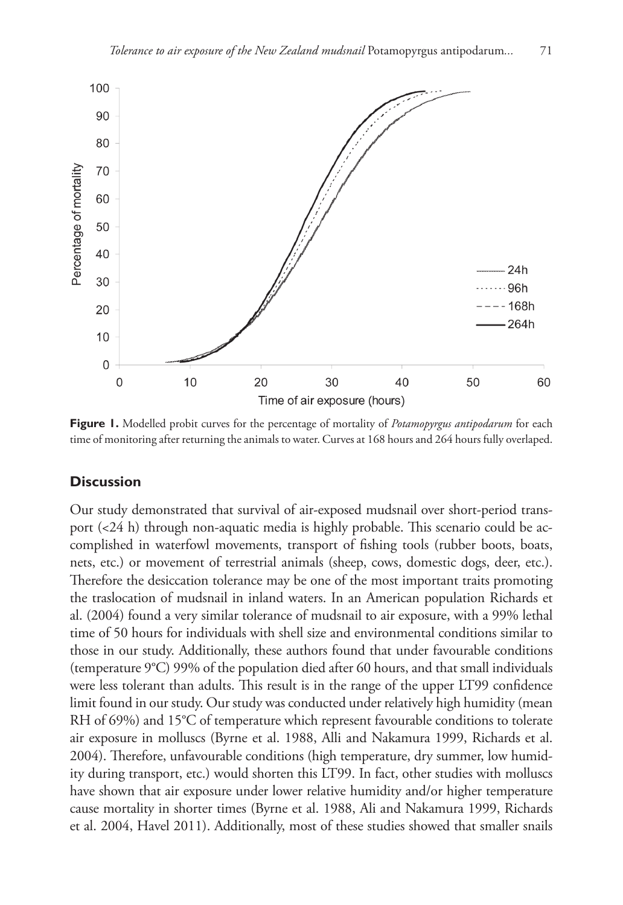

**Figure 1.** Modelled probit curves for the percentage of mortality of *Potamopyrgus antipodarum* for each time of monitoring after returning the animals to water. Curves at 168 hours and 264 hours fully overlaped.

## **Discussion**

Our study demonstrated that survival of air-exposed mudsnail over short-period transport (<24 h) through non-aquatic media is highly probable. This scenario could be accomplished in waterfowl movements, transport of fishing tools (rubber boots, boats, nets, etc.) or movement of terrestrial animals (sheep, cows, domestic dogs, deer, etc.). Therefore the desiccation tolerance may be one of the most important traits promoting the traslocation of mudsnail in inland waters. In an American population Richards et al. (2004) found a very similar tolerance of mudsnail to air exposure, with a 99% lethal time of 50 hours for individuals with shell size and environmental conditions similar to those in our study. Additionally, these authors found that under favourable conditions (temperature 9°C) 99% of the population died after 60 hours, and that small individuals were less tolerant than adults. This result is in the range of the upper LT99 confidence limit found in our study. Our study was conducted under relatively high humidity (mean RH of 69%) and 15°C of temperature which represent favourable conditions to tolerate air exposure in molluscs (Byrne et al. 1988, Alli and Nakamura 1999, Richards et al. 2004). Therefore, unfavourable conditions (high temperature, dry summer, low humidity during transport, etc.) would shorten this LT99. In fact, other studies with molluscs have shown that air exposure under lower relative humidity and/or higher temperature cause mortality in shorter times (Byrne et al. 1988, Ali and Nakamura 1999, Richards et al. 2004, Havel 2011). Additionally, most of these studies showed that smaller snails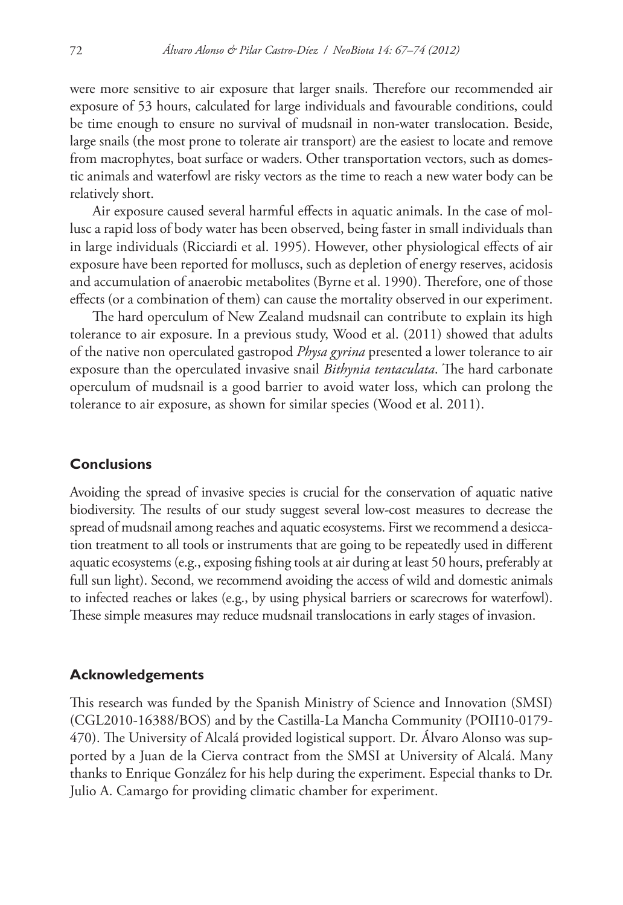were more sensitive to air exposure that larger snails. Therefore our recommended air exposure of 53 hours, calculated for large individuals and favourable conditions, could be time enough to ensure no survival of mudsnail in non-water translocation. Beside, large snails (the most prone to tolerate air transport) are the easiest to locate and remove from macrophytes, boat surface or waders. Other transportation vectors, such as domestic animals and waterfowl are risky vectors as the time to reach a new water body can be relatively short.

Air exposure caused several harmful effects in aquatic animals. In the case of mollusc a rapid loss of body water has been observed, being faster in small individuals than in large individuals (Ricciardi et al. 1995). However, other physiological effects of air exposure have been reported for molluscs, such as depletion of energy reserves, acidosis and accumulation of anaerobic metabolites (Byrne et al. 1990). Therefore, one of those effects (or a combination of them) can cause the mortality observed in our experiment.

The hard operculum of New Zealand mudsnail can contribute to explain its high tolerance to air exposure. In a previous study, Wood et al. (2011) showed that adults of the native non operculated gastropod *Physa gyrina* presented a lower tolerance to air exposure than the operculated invasive snail *Bithynia tentaculata*. The hard carbonate operculum of mudsnail is a good barrier to avoid water loss, which can prolong the tolerance to air exposure, as shown for similar species (Wood et al. 2011).

## **Conclusions**

Avoiding the spread of invasive species is crucial for the conservation of aquatic native biodiversity. The results of our study suggest several low-cost measures to decrease the spread of mudsnail among reaches and aquatic ecosystems. First we recommend a desiccation treatment to all tools or instruments that are going to be repeatedly used in different aquatic ecosystems (e.g., exposing fishing tools at air during at least 50 hours, preferably at full sun light). Second, we recommend avoiding the access of wild and domestic animals to infected reaches or lakes (e.g., by using physical barriers or scarecrows for waterfowl). These simple measures may reduce mudsnail translocations in early stages of invasion.

## **Acknowledgements**

This research was funded by the Spanish Ministry of Science and Innovation (SMSI) (CGL2010-16388/BOS) and by the Castilla-La Mancha Community (POII10-0179- 470). The University of Alcalá provided logistical support. Dr. Álvaro Alonso was supported by a Juan de la Cierva contract from the SMSI at University of Alcalá. Many thanks to Enrique González for his help during the experiment. Especial thanks to Dr. Julio A. Camargo for providing climatic chamber for experiment.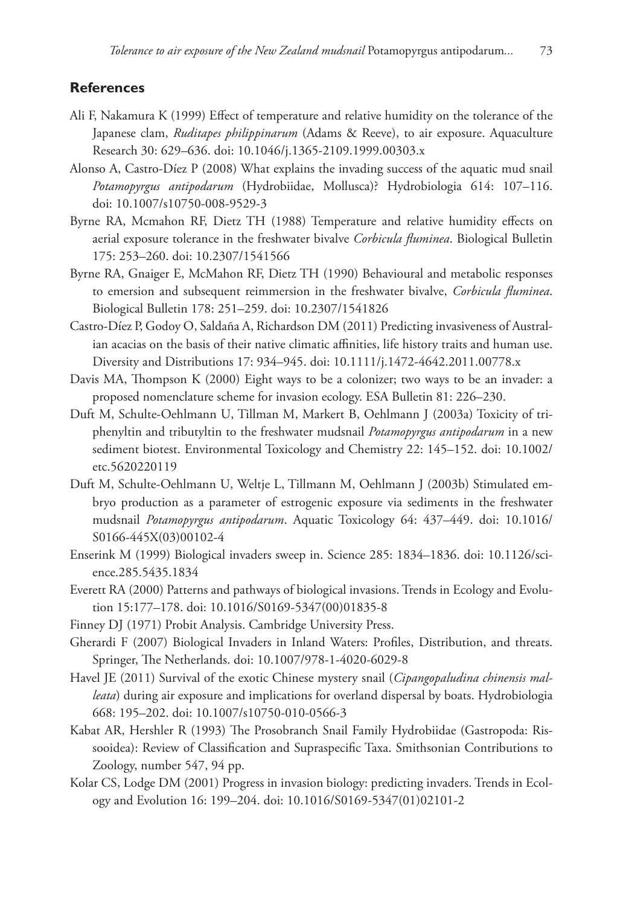## **References**

- Ali F, Nakamura K (1999) Effect of temperature and relative humidity on the tolerance of the Japanese clam, *Ruditapes philippinarum* (Adams & Reeve), to air exposure. Aquaculture Research 30: 629–636. [doi: 10.1046/j.1365-2109.1999.00303.x](http://dx.doi.org/10.1046/j.1365-2109.1999.00303.x)
- Alonso A, Castro-Díez P (2008) What explains the invading success of the aquatic mud snail *Potamopyrgus antipodarum* (Hydrobiidae, Mollusca)? Hydrobiologia 614: 107–116. doi: 10.1007/s10750-008-9529-3
- Byrne RA, Mcmahon RF, Dietz TH (1988) Temperature and relative humidity effects on aerial exposure tolerance in the freshwater bivalve *Corbicula fluminea*. Biological Bulletin 175: 253–260. [doi: 10.2307/1541566](http://dx.doi.org/10.2307/1541566)
- Byrne RA, Gnaiger E, McMahon RF, Dietz TH (1990) Behavioural and metabolic responses to emersion and subsequent reimmersion in the freshwater bivalve, *Corbicula fluminea*. Biological Bulletin 178: 251–259. [doi: 10.2307/1541826](http://dx.doi.org/10.2307/1541826)
- Castro-Díez P, Godoy O, Saldaña A, Richardson DM (2011) Predicting invasiveness of Australian acacias on the basis of their native climatic affinities, life history traits and human use. Diversity and Distributions 17: 934–945. [doi: 10.1111/j.1472-4642.2011.00778.x](http://dx.doi.org/10.1111/j.1472-4642.2011.00778.x)
- Davis MA, Thompson K (2000) Eight ways to be a colonizer; two ways to be an invader: a proposed nomenclature scheme for invasion ecology. ESA Bulletin 81: 226–230.
- Duft M, Schulte-Oehlmann U, Tillman M, Markert B, Oehlmann J (2003a) Toxicity of triphenyltin and tributyltin to the freshwater mudsnail *Potamopyrgus antipodarum* in a new sediment biotest. Environmental Toxicology and Chemistry 22: 145–152. [doi: 10.1002/](http://dx.doi.org/10.1002/etc.5620220119) [etc.5620220119](http://dx.doi.org/10.1002/etc.5620220119)
- Duft M, Schulte-Oehlmann U, Weltje L, Tillmann M, Oehlmann J (2003b) Stimulated embryo production as a parameter of estrogenic exposure via sediments in the freshwater mudsnail *Potamopyrgus antipodarum*. Aquatic Toxicology 64: 437–449. [doi: 10.1016/](http://dx.doi.org/10.1016/S0166-445X(03)00102-4) [S0166-445X\(03\)00102-4](http://dx.doi.org/10.1016/S0166-445X(03)00102-4)
- Enserink M (1999) Biological invaders sweep in. Science 285: 1834–1836. [doi: 10.1126/sci](http://dx.doi.org/10.1126/science.285.5435.1834)[ence.285.5435.1834](http://dx.doi.org/10.1126/science.285.5435.1834)
- Everett RA (2000) Patterns and pathways of biological invasions. Trends in Ecology and Evolution 15:177–178. [doi: 10.1016/S0169-5347\(00\)01835-8](http://dx.doi.org/10.1016/S0169-5347(00)01835-8)
- Finney DJ (1971) Probit Analysis. Cambridge University Press.
- Gherardi F (2007) Biological Invaders in Inland Waters: Profiles, Distribution, and threats. Springer, The Netherlands. [doi: 10.1007/978-1-4020-6029-8](http://dx.doi.org/10.1007/978-1-4020-6029-8)
- Havel JE (2011) Survival of the exotic Chinese mystery snail (*Cipangopaludina chinensis malleata*) during air exposure and implications for overland dispersal by boats. Hydrobiologia 668: 195–202. [doi: 10.1007/s10750-010-0566-3](http://dx.doi.org/10.1007/s10750-010-0566-3)
- Kabat AR, Hershler R (1993) The Prosobranch Snail Family Hydrobiidae (Gastropoda: Rissooidea): Review of Classification and Supraspecific Taxa. Smithsonian Contributions to Zoology, number 547, 94 pp.
- Kolar CS, Lodge DM (2001) Progress in invasion biology: predicting invaders. Trends in Ecology and Evolution 16: 199–204. [doi: 10.1016/S0169-5347\(01\)02101-2](http://dx.doi.org/10.1016/S0169-5347(01)02101-2)